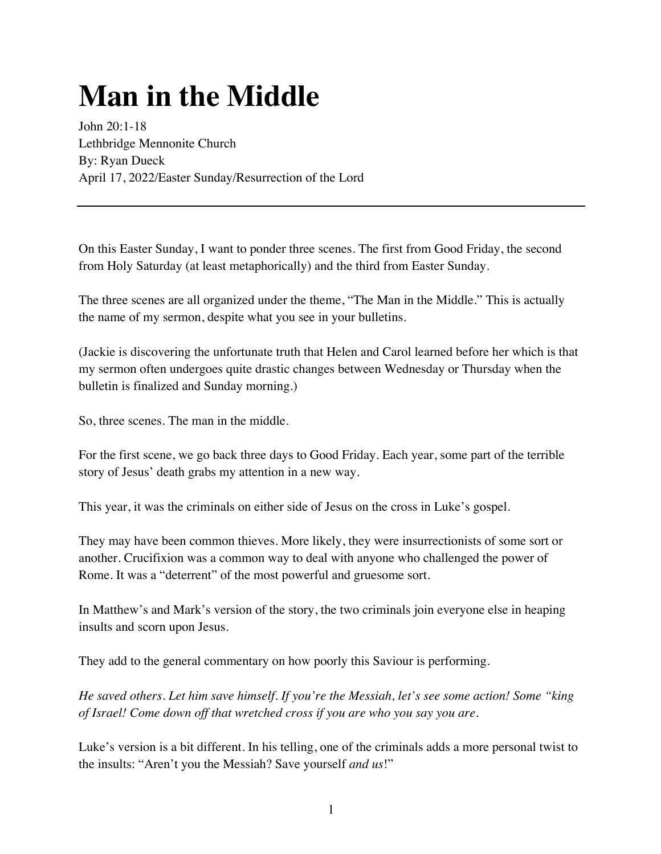## **Man in the Middle**

John 20:1-18 Lethbridge Mennonite Church By: Ryan Dueck April 17, 2022/Easter Sunday/Resurrection of the Lord

On this Easter Sunday, I want to ponder three scenes. The first from Good Friday, the second from Holy Saturday (at least metaphorically) and the third from Easter Sunday.

The three scenes are all organized under the theme, "The Man in the Middle." This is actually the name of my sermon, despite what you see in your bulletins.

(Jackie is discovering the unfortunate truth that Helen and Carol learned before her which is that my sermon often undergoes quite drastic changes between Wednesday or Thursday when the bulletin is finalized and Sunday morning.)

So, three scenes. The man in the middle.

For the first scene, we go back three days to Good Friday. Each year, some part of the terrible story of Jesus' death grabs my attention in a new way.

This year, it was the criminals on either side of Jesus on the cross in Luke's gospel.

They may have been common thieves. More likely, they were insurrectionists of some sort or another. Crucifixion was a common way to deal with anyone who challenged the power of Rome. It was a "deterrent" of the most powerful and gruesome sort.

In Matthew's and Mark's version of the story, the two criminals join everyone else in heaping insults and scorn upon Jesus.

They add to the general commentary on how poorly this Saviour is performing.

*He saved others. Let him save himself. If you're the Messiah, let's see some action! Some "king of Israel! Come down off that wretched cross if you are who you say you are.* 

Luke's version is a bit different. In his telling, one of the criminals adds a more personal twist to the insults: "Aren't you the Messiah? Save yourself *and us*!"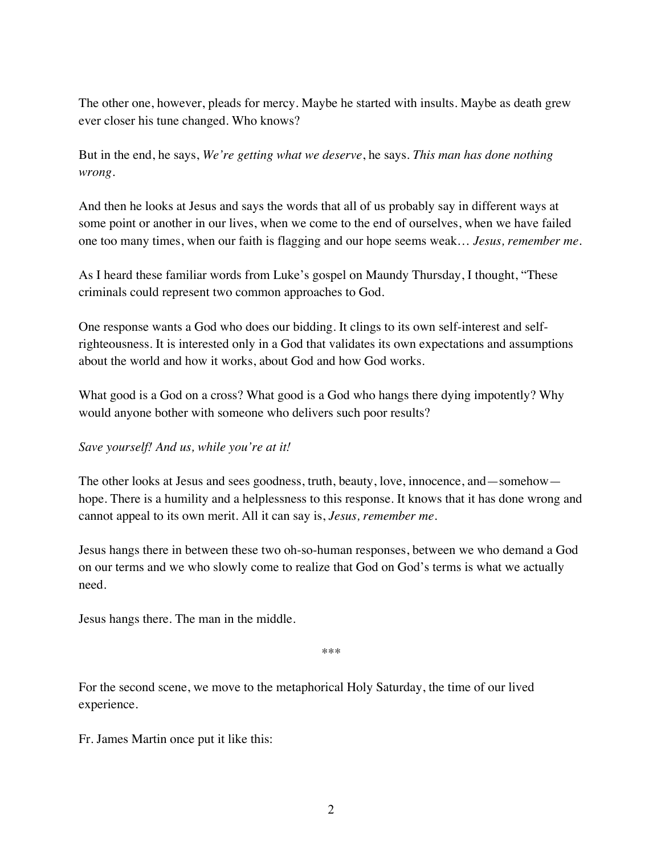The other one, however, pleads for mercy. Maybe he started with insults. Maybe as death grew ever closer his tune changed. Who knows?

But in the end, he says, *We're getting what we deserve*, he says. *This man has done nothing wrong.* 

And then he looks at Jesus and says the words that all of us probably say in different ways at some point or another in our lives, when we come to the end of ourselves, when we have failed one too many times, when our faith is flagging and our hope seems weak… *Jesus, remember me.*

As I heard these familiar words from Luke's gospel on Maundy Thursday, I thought, "These criminals could represent two common approaches to God.

One response wants a God who does our bidding. It clings to its own self-interest and selfrighteousness. It is interested only in a God that validates its own expectations and assumptions about the world and how it works, about God and how God works.

What good is a God on a cross? What good is a God who hangs there dying impotently? Why would anyone bother with someone who delivers such poor results?

*Save yourself! And us, while you're at it!*

The other looks at Jesus and sees goodness, truth, beauty, love, innocence, and—somehow hope. There is a humility and a helplessness to this response. It knows that it has done wrong and cannot appeal to its own merit. All it can say is, *Jesus, remember me.* 

Jesus hangs there in between these two oh-so-human responses, between we who demand a God on our terms and we who slowly come to realize that God on God's terms is what we actually need.

Jesus hangs there. The man in the middle.

\*\*\*

For the second scene, we move to the metaphorical Holy Saturday, the time of our lived experience.

Fr. James Martin once put it like this: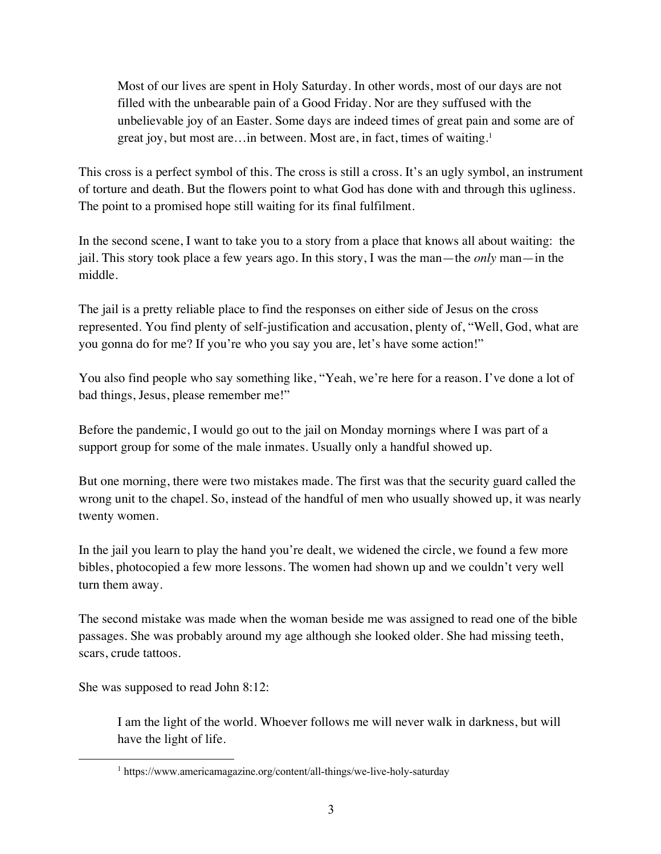Most of our lives are spent in Holy Saturday. In other words, most of our days are not filled with the unbearable pain of a Good Friday. Nor are they suffused with the unbelievable joy of an Easter. Some days are indeed times of great pain and some are of great joy, but most are…in between. Most are, in fact, times of waiting. 1

This cross is a perfect symbol of this. The cross is still a cross. It's an ugly symbol, an instrument of torture and death. But the flowers point to what God has done with and through this ugliness. The point to a promised hope still waiting for its final fulfilment.

In the second scene, I want to take you to a story from a place that knows all about waiting: the jail. This story took place a few years ago. In this story, I was the man—the *only* man—in the middle.

The jail is a pretty reliable place to find the responses on either side of Jesus on the cross represented. You find plenty of self-justification and accusation, plenty of, "Well, God, what are you gonna do for me? If you're who you say you are, let's have some action!"

You also find people who say something like, "Yeah, we're here for a reason. I've done a lot of bad things, Jesus, please remember me!"

Before the pandemic, I would go out to the jail on Monday mornings where I was part of a support group for some of the male inmates. Usually only a handful showed up.

But one morning, there were two mistakes made. The first was that the security guard called the wrong unit to the chapel. So, instead of the handful of men who usually showed up, it was nearly twenty women.

In the jail you learn to play the hand you're dealt, we widened the circle, we found a few more bibles, photocopied a few more lessons. The women had shown up and we couldn't very well turn them away.

The second mistake was made when the woman beside me was assigned to read one of the bible passages. She was probably around my age although she looked older. She had missing teeth, scars, crude tattoos.

She was supposed to read John 8:12:

I am the light of the world. Whoever follows me will never walk in darkness, but will have the light of life.

<sup>1</sup> https://www.americamagazine.org/content/all-things/we-live-holy-saturday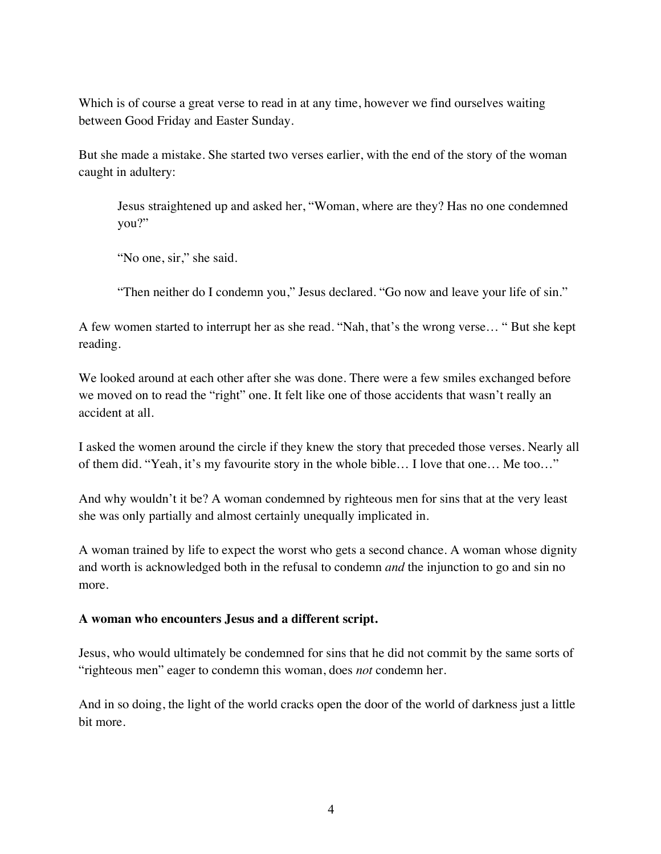Which is of course a great verse to read in at any time, however we find ourselves waiting between Good Friday and Easter Sunday.

But she made a mistake. She started two verses earlier, with the end of the story of the woman caught in adultery:

Jesus straightened up and asked her, "Woman, where are they? Has no one condemned you?"

"No one, sir," she said.

"Then neither do I condemn you," Jesus declared. "Go now and leave your life of sin."

A few women started to interrupt her as she read. "Nah, that's the wrong verse… " But she kept reading.

We looked around at each other after she was done. There were a few smiles exchanged before we moved on to read the "right" one. It felt like one of those accidents that wasn't really an accident at all.

I asked the women around the circle if they knew the story that preceded those verses. Nearly all of them did. "Yeah, it's my favourite story in the whole bible… I love that one… Me too…"

And why wouldn't it be? A woman condemned by righteous men for sins that at the very least she was only partially and almost certainly unequally implicated in.

A woman trained by life to expect the worst who gets a second chance. A woman whose dignity and worth is acknowledged both in the refusal to condemn *and* the injunction to go and sin no more.

## **A woman who encounters Jesus and a different script.**

Jesus, who would ultimately be condemned for sins that he did not commit by the same sorts of "righteous men" eager to condemn this woman, does *not* condemn her.

And in so doing, the light of the world cracks open the door of the world of darkness just a little bit more.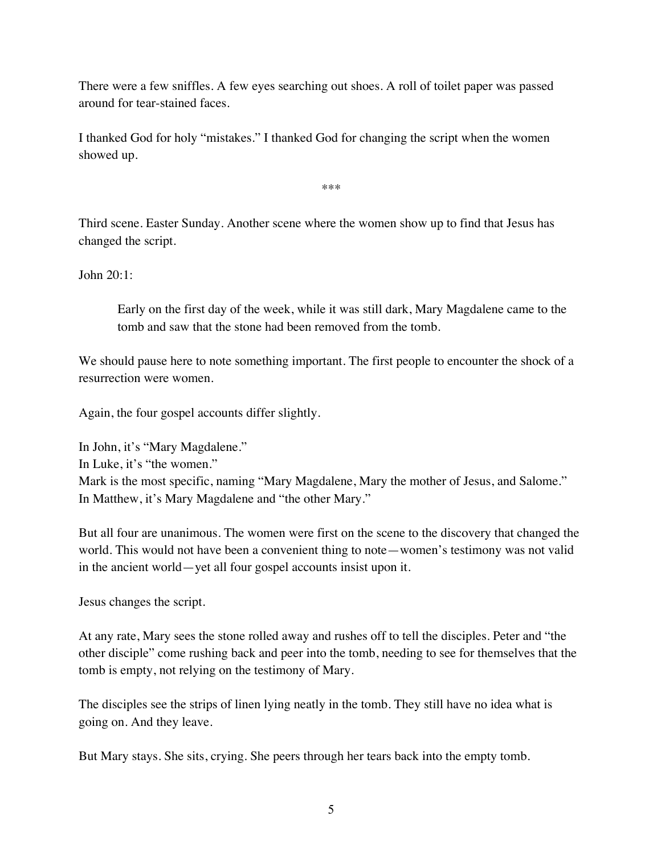There were a few sniffles. A few eyes searching out shoes. A roll of toilet paper was passed around for tear-stained faces.

I thanked God for holy "mistakes." I thanked God for changing the script when the women showed up.

\*\*\*

Third scene. Easter Sunday. Another scene where the women show up to find that Jesus has changed the script.

John 20:1:

Early on the first day of the week, while it was still dark, Mary Magdalene came to the tomb and saw that the stone had been removed from the tomb.

We should pause here to note something important. The first people to encounter the shock of a resurrection were women.

Again, the four gospel accounts differ slightly.

In John, it's "Mary Magdalene." In Luke, it's "the women." Mark is the most specific, naming "Mary Magdalene, Mary the mother of Jesus, and Salome." In Matthew, it's Mary Magdalene and "the other Mary."

But all four are unanimous. The women were first on the scene to the discovery that changed the world. This would not have been a convenient thing to note—women's testimony was not valid in the ancient world—yet all four gospel accounts insist upon it.

Jesus changes the script.

At any rate, Mary sees the stone rolled away and rushes off to tell the disciples. Peter and "the other disciple" come rushing back and peer into the tomb, needing to see for themselves that the tomb is empty, not relying on the testimony of Mary.

The disciples see the strips of linen lying neatly in the tomb. They still have no idea what is going on. And they leave.

But Mary stays. She sits, crying. She peers through her tears back into the empty tomb.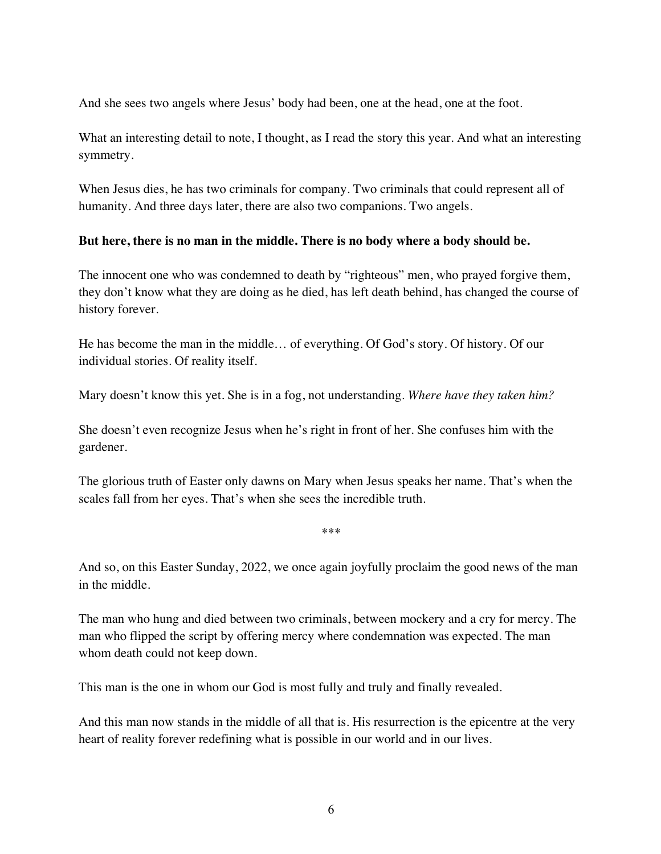And she sees two angels where Jesus' body had been, one at the head, one at the foot.

What an interesting detail to note, I thought, as I read the story this year. And what an interesting symmetry.

When Jesus dies, he has two criminals for company. Two criminals that could represent all of humanity. And three days later, there are also two companions. Two angels.

## **But here, there is no man in the middle. There is no body where a body should be.**

The innocent one who was condemned to death by "righteous" men, who prayed forgive them, they don't know what they are doing as he died, has left death behind, has changed the course of history forever.

He has become the man in the middle… of everything. Of God's story. Of history. Of our individual stories. Of reality itself.

Mary doesn't know this yet. She is in a fog, not understanding. *Where have they taken him?* 

She doesn't even recognize Jesus when he's right in front of her. She confuses him with the gardener.

The glorious truth of Easter only dawns on Mary when Jesus speaks her name. That's when the scales fall from her eyes. That's when she sees the incredible truth.

\*\*\*

And so, on this Easter Sunday, 2022, we once again joyfully proclaim the good news of the man in the middle.

The man who hung and died between two criminals, between mockery and a cry for mercy. The man who flipped the script by offering mercy where condemnation was expected. The man whom death could not keep down.

This man is the one in whom our God is most fully and truly and finally revealed.

And this man now stands in the middle of all that is. His resurrection is the epicentre at the very heart of reality forever redefining what is possible in our world and in our lives.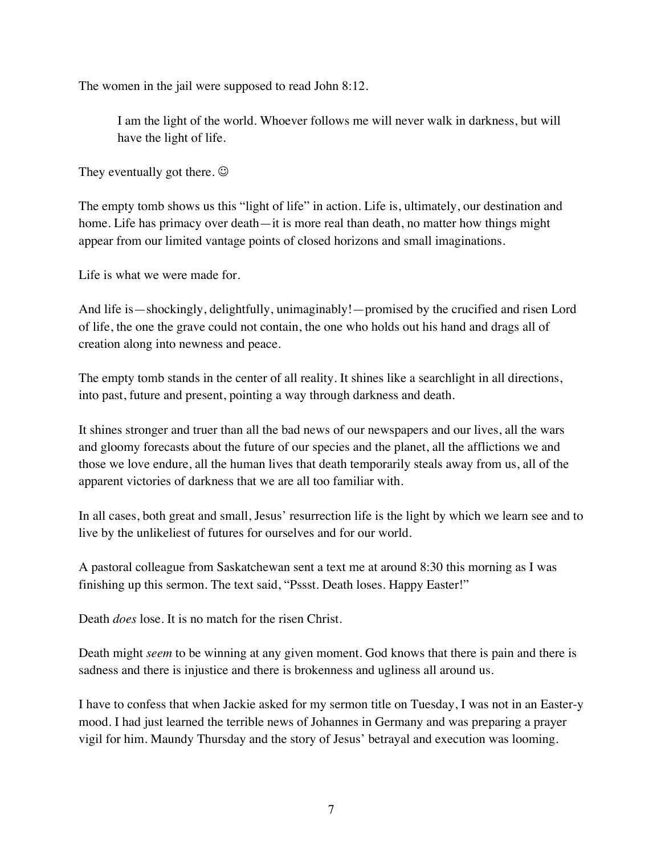The women in the jail were supposed to read John 8:12.

I am the light of the world. Whoever follows me will never walk in darkness, but will have the light of life.

They eventually got there.  $\odot$ 

The empty tomb shows us this "light of life" in action. Life is, ultimately, our destination and home. Life has primacy over death—it is more real than death, no matter how things might appear from our limited vantage points of closed horizons and small imaginations.

Life is what we were made for.

And life is—shockingly, delightfully, unimaginably!—promised by the crucified and risen Lord of life, the one the grave could not contain, the one who holds out his hand and drags all of creation along into newness and peace.

The empty tomb stands in the center of all reality. It shines like a searchlight in all directions, into past, future and present, pointing a way through darkness and death.

It shines stronger and truer than all the bad news of our newspapers and our lives, all the wars and gloomy forecasts about the future of our species and the planet, all the afflictions we and those we love endure, all the human lives that death temporarily steals away from us, all of the apparent victories of darkness that we are all too familiar with.

In all cases, both great and small, Jesus' resurrection life is the light by which we learn see and to live by the unlikeliest of futures for ourselves and for our world.

A pastoral colleague from Saskatchewan sent a text me at around 8:30 this morning as I was finishing up this sermon. The text said, "Pssst. Death loses. Happy Easter!"

Death *does* lose. It is no match for the risen Christ.

Death might *seem* to be winning at any given moment. God knows that there is pain and there is sadness and there is injustice and there is brokenness and ugliness all around us.

I have to confess that when Jackie asked for my sermon title on Tuesday, I was not in an Easter-y mood. I had just learned the terrible news of Johannes in Germany and was preparing a prayer vigil for him. Maundy Thursday and the story of Jesus' betrayal and execution was looming.